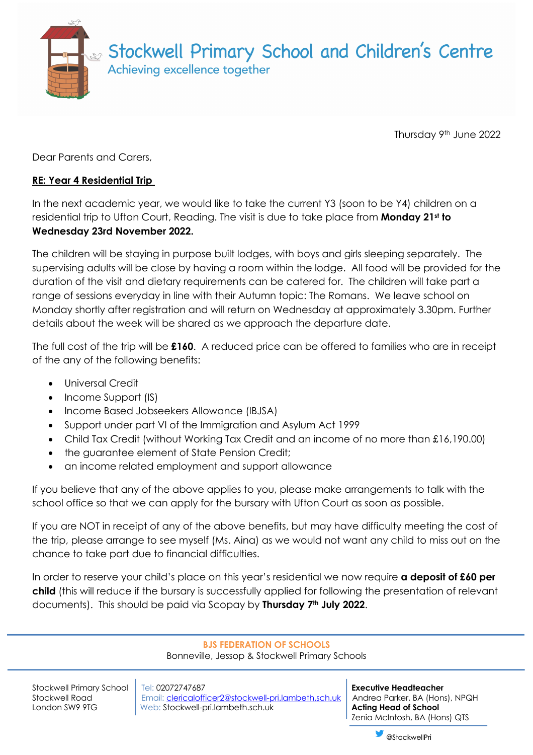

Thursday 9th June 2022

Dear Parents and Carers,

## **RE: Year 4 Residential Trip**

In the next academic year, we would like to take the current Y3 (soon to be Y4) children on a residential trip to Ufton Court, Reading. The visit is due to take place from **Monday 21st to Wednesday 23rd November 2022.** 

The children will be staying in purpose built lodges, with boys and girls sleeping separately. The supervising adults will be close by having a room within the lodge. All food will be provided for the duration of the visit and dietary requirements can be catered for. The children will take part a range of sessions everyday in line with their Autumn topic: The Romans. We leave school on Monday shortly after registration and will return on Wednesday at approximately 3.30pm. Further details about the week will be shared as we approach the departure date.

The full cost of the trip will be **£160**.A reduced price can be offered to families who are in receipt of the any of the following benefits:

- Universal Credit
- Income Support (IS)
- Income Based Jobseekers Allowance (IBJSA)
- Support under part VI of the Immigration and Asylum Act 1999
- Child Tax Credit (without Working Tax Credit and an income of no more than £16,190.00)
- the guarantee element of State Pension Credit;
- an income related employment and support allowance

If you believe that any of the above applies to you, please make arrangements to talk with the school office so that we can apply for the bursary with Ufton Court as soon as possible.

If you are NOT in receipt of any of the above benefits, but may have difficulty meeting the cost of the trip, please arrange to see myself (Ms. Aina) as we would not want any child to miss out on the chance to take part due to financial difficulties.

In order to reserve your child's place on this year's residential we now require **a deposit of £60 per child** (this will reduce if the bursary is successfully applied for following the presentation of relevant documents). This should be paid via Scopay by **Thursday 7th July 2022**.

## **BJS FEDERATION OF SCHOOLS**

Bonneville, Jessop & Stockwell Primary Schools

Stockwell Primary School | Tel: 02072747687 **Executive Headteacher Executive Headteacher** Stockwell Road **Email: clericalofficer2@stockwell-pri.lambeth.sch.uk** Andrea Parker, BA (Hons), NPQH London SW9 9TG **Web: Stockwell-pri.lambeth.sch.uk <b>Acting Head of School** 

Zenia McIntosh, BA (Hons) QTS